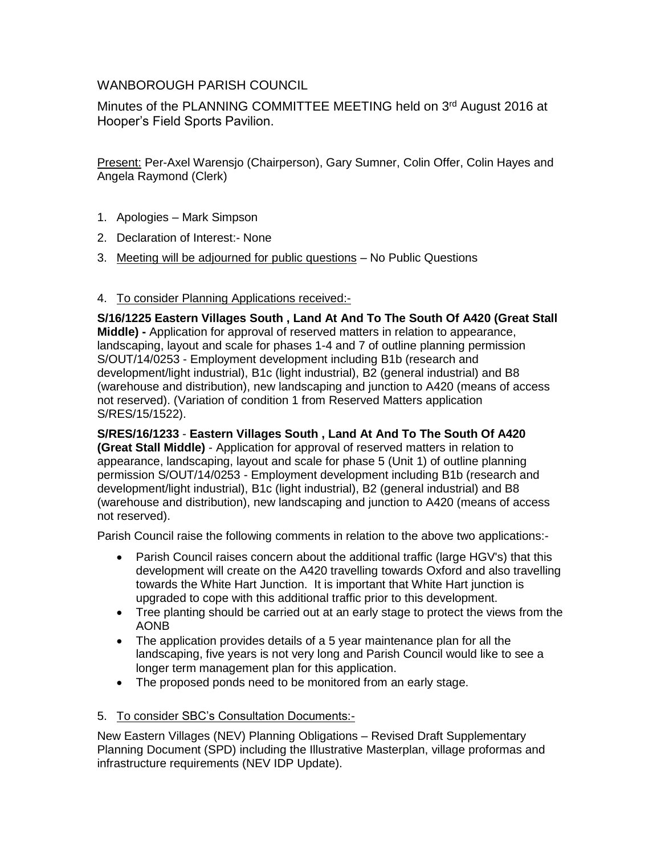# WANBOROUGH PARISH COUNCIL

Minutes of the PLANNING COMMITTEE MEETING held on 3rd August 2016 at Hooper's Field Sports Pavilion.

Present: Per-Axel Warensjo (Chairperson), Gary Sumner, Colin Offer, Colin Hayes and Angela Raymond (Clerk)

- 1. Apologies Mark Simpson
- 2. Declaration of Interest:- None
- 3. Meeting will be adjourned for public questions No Public Questions

# 4. To consider Planning Applications received:-

**S/16/1225 Eastern Villages South , Land At And To The South Of A420 (Great Stall Middle) -** Application for approval of reserved matters in relation to appearance, landscaping, layout and scale for phases 1-4 and 7 of outline planning permission S/OUT/14/0253 - Employment development including B1b (research and development/light industrial), B1c (light industrial), B2 (general industrial) and B8 (warehouse and distribution), new landscaping and junction to A420 (means of access not reserved). (Variation of condition 1 from Reserved Matters application S/RES/15/1522).

**S/RES/16/1233** - **Eastern Villages South , Land At And To The South Of A420 (Great Stall Middle)** - Application for approval of reserved matters in relation to appearance, landscaping, layout and scale for phase 5 (Unit 1) of outline planning permission S/OUT/14/0253 - Employment development including B1b (research and development/light industrial), B1c (light industrial), B2 (general industrial) and B8 (warehouse and distribution), new landscaping and junction to A420 (means of access not reserved).

Parish Council raise the following comments in relation to the above two applications:-

- Parish Council raises concern about the additional traffic (large HGV's) that this development will create on the A420 travelling towards Oxford and also travelling towards the White Hart Junction. It is important that White Hart junction is upgraded to cope with this additional traffic prior to this development.
- Tree planting should be carried out at an early stage to protect the views from the AONB
- The application provides details of a 5 year maintenance plan for all the landscaping, five years is not very long and Parish Council would like to see a longer term management plan for this application.
- The proposed ponds need to be monitored from an early stage.

### 5. To consider SBC's Consultation Documents:-

New Eastern Villages (NEV) Planning Obligations – Revised Draft Supplementary Planning Document (SPD) including the Illustrative Masterplan, village proformas and infrastructure requirements (NEV IDP Update).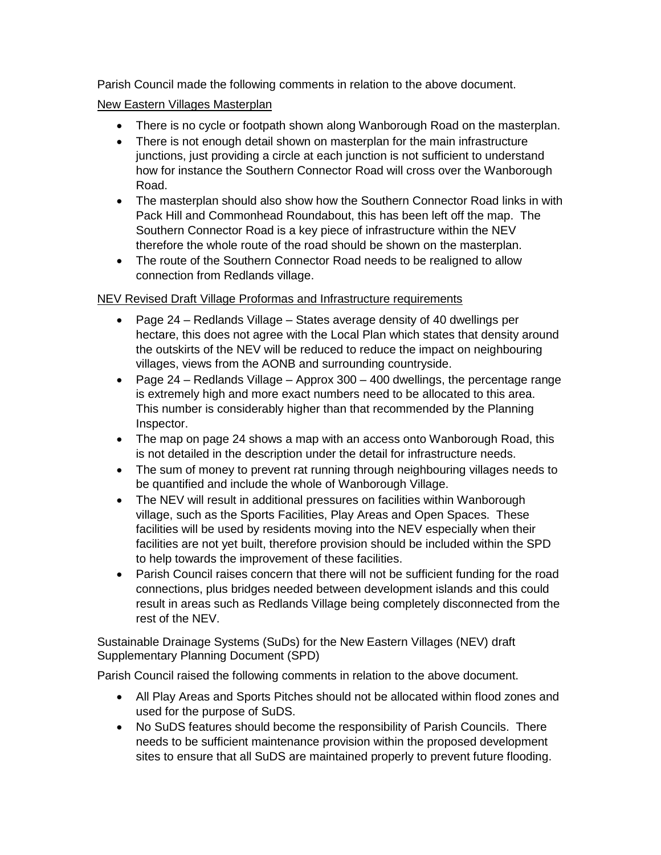Parish Council made the following comments in relation to the above document.

### New Eastern Villages Masterplan

- There is no cycle or footpath shown along Wanborough Road on the masterplan.
- There is not enough detail shown on masterplan for the main infrastructure junctions, just providing a circle at each junction is not sufficient to understand how for instance the Southern Connector Road will cross over the Wanborough Road.
- The masterplan should also show how the Southern Connector Road links in with Pack Hill and Commonhead Roundabout, this has been left off the map. The Southern Connector Road is a key piece of infrastructure within the NEV therefore the whole route of the road should be shown on the masterplan.
- The route of the Southern Connector Road needs to be realigned to allow connection from Redlands village.

#### NEV Revised Draft Village Proformas and Infrastructure requirements

- Page 24 Redlands Village States average density of 40 dwellings per hectare, this does not agree with the Local Plan which states that density around the outskirts of the NEV will be reduced to reduce the impact on neighbouring villages, views from the AONB and surrounding countryside.
- Page  $24$  Redlands Village Approx 300 400 dwellings, the percentage range is extremely high and more exact numbers need to be allocated to this area. This number is considerably higher than that recommended by the Planning Inspector.
- The map on page 24 shows a map with an access onto Wanborough Road, this is not detailed in the description under the detail for infrastructure needs.
- The sum of money to prevent rat running through neighbouring villages needs to be quantified and include the whole of Wanborough Village.
- The NEV will result in additional pressures on facilities within Wanborough village, such as the Sports Facilities, Play Areas and Open Spaces. These facilities will be used by residents moving into the NEV especially when their facilities are not yet built, therefore provision should be included within the SPD to help towards the improvement of these facilities.
- Parish Council raises concern that there will not be sufficient funding for the road connections, plus bridges needed between development islands and this could result in areas such as Redlands Village being completely disconnected from the rest of the NEV.

Sustainable Drainage Systems (SuDs) for the New Eastern Villages (NEV) draft Supplementary Planning Document (SPD)

Parish Council raised the following comments in relation to the above document.

- All Play Areas and Sports Pitches should not be allocated within flood zones and used for the purpose of SuDS.
- No SuDS features should become the responsibility of Parish Councils. There needs to be sufficient maintenance provision within the proposed development sites to ensure that all SuDS are maintained properly to prevent future flooding.